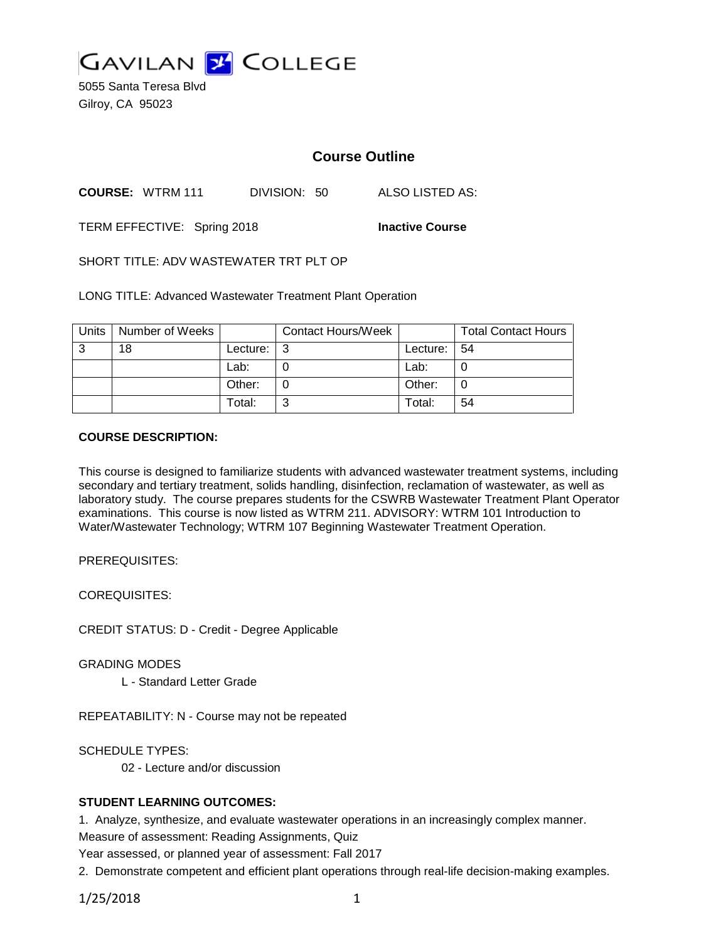

5055 Santa Teresa Blvd Gilroy, CA 95023

# **Course Outline**

**COURSE:** WTRM 111 DIVISION: 50 ALSO LISTED AS:

TERM EFFECTIVE: Spring 2018 **Inactive Course**

SHORT TITLE: ADV WASTEWATER TRT PLT OP

LONG TITLE: Advanced Wastewater Treatment Plant Operation

| Units | Number of Weeks |                            | <b>Contact Hours/Week</b> |                 | <b>Total Contact Hours</b> |
|-------|-----------------|----------------------------|---------------------------|-----------------|----------------------------|
| 3     | 18              | Lecture: $\vert 3 \rangle$ |                           | Lecture: $ 54 $ |                            |
|       |                 | Lab:                       |                           | Lab:            |                            |
|       |                 | Other:                     |                           | Other:          |                            |
|       |                 | Total:                     | ⌒                         | Total:          | 54                         |

#### **COURSE DESCRIPTION:**

This course is designed to familiarize students with advanced wastewater treatment systems, including secondary and tertiary treatment, solids handling, disinfection, reclamation of wastewater, as well as laboratory study. The course prepares students for the CSWRB Wastewater Treatment Plant Operator examinations. This course is now listed as WTRM 211. ADVISORY: WTRM 101 Introduction to Water/Wastewater Technology; WTRM 107 Beginning Wastewater Treatment Operation.

PREREQUISITES:

COREQUISITES:

CREDIT STATUS: D - Credit - Degree Applicable

GRADING MODES

L - Standard Letter Grade

REPEATABILITY: N - Course may not be repeated

SCHEDULE TYPES:

02 - Lecture and/or discussion

### **STUDENT LEARNING OUTCOMES:**

1. Analyze, synthesize, and evaluate wastewater operations in an increasingly complex manner.

Measure of assessment: Reading Assignments, Quiz

Year assessed, or planned year of assessment: Fall 2017

2. Demonstrate competent and efficient plant operations through real-life decision-making examples.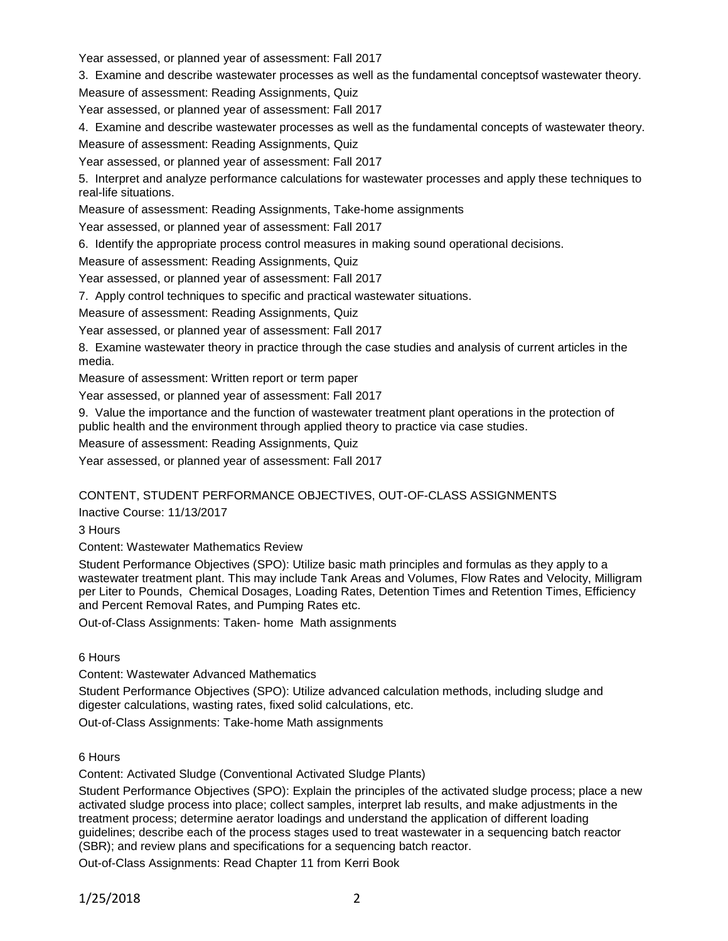Year assessed, or planned year of assessment: Fall 2017

3. Examine and describe wastewater processes as well as the fundamental conceptsof wastewater theory.

Measure of assessment: Reading Assignments, Quiz

Year assessed, or planned year of assessment: Fall 2017

4. Examine and describe wastewater processes as well as the fundamental concepts of wastewater theory.

Measure of assessment: Reading Assignments, Quiz

Year assessed, or planned year of assessment: Fall 2017

5. Interpret and analyze performance calculations for wastewater processes and apply these techniques to real-life situations.

Measure of assessment: Reading Assignments, Take-home assignments

Year assessed, or planned year of assessment: Fall 2017

6. Identify the appropriate process control measures in making sound operational decisions.

Measure of assessment: Reading Assignments, Quiz

Year assessed, or planned year of assessment: Fall 2017

7. Apply control techniques to specific and practical wastewater situations.

Measure of assessment: Reading Assignments, Quiz

Year assessed, or planned year of assessment: Fall 2017

8. Examine wastewater theory in practice through the case studies and analysis of current articles in the media.

Measure of assessment: Written report or term paper

Year assessed, or planned year of assessment: Fall 2017

9. Value the importance and the function of wastewater treatment plant operations in the protection of public health and the environment through applied theory to practice via case studies.

Measure of assessment: Reading Assignments, Quiz

Year assessed, or planned year of assessment: Fall 2017

CONTENT, STUDENT PERFORMANCE OBJECTIVES, OUT-OF-CLASS ASSIGNMENTS

Inactive Course: 11/13/2017

3 Hours

Content: Wastewater Mathematics Review

Student Performance Objectives (SPO): Utilize basic math principles and formulas as they apply to a wastewater treatment plant. This may include Tank Areas and Volumes, Flow Rates and Velocity, Milligram per Liter to Pounds, Chemical Dosages, Loading Rates, Detention Times and Retention Times, Efficiency and Percent Removal Rates, and Pumping Rates etc.

Out-of-Class Assignments: Taken- home Math assignments

6 Hours

Content: Wastewater Advanced Mathematics

Student Performance Objectives (SPO): Utilize advanced calculation methods, including sludge and digester calculations, wasting rates, fixed solid calculations, etc.

Out-of-Class Assignments: Take-home Math assignments

### 6 Hours

Content: Activated Sludge (Conventional Activated Sludge Plants)

Student Performance Objectives (SPO): Explain the principles of the activated sludge process; place a new activated sludge process into place; collect samples, interpret lab results, and make adjustments in the treatment process; determine aerator loadings and understand the application of different loading guidelines; describe each of the process stages used to treat wastewater in a sequencing batch reactor (SBR); and review plans and specifications for a sequencing batch reactor.

Out-of-Class Assignments: Read Chapter 11 from Kerri Book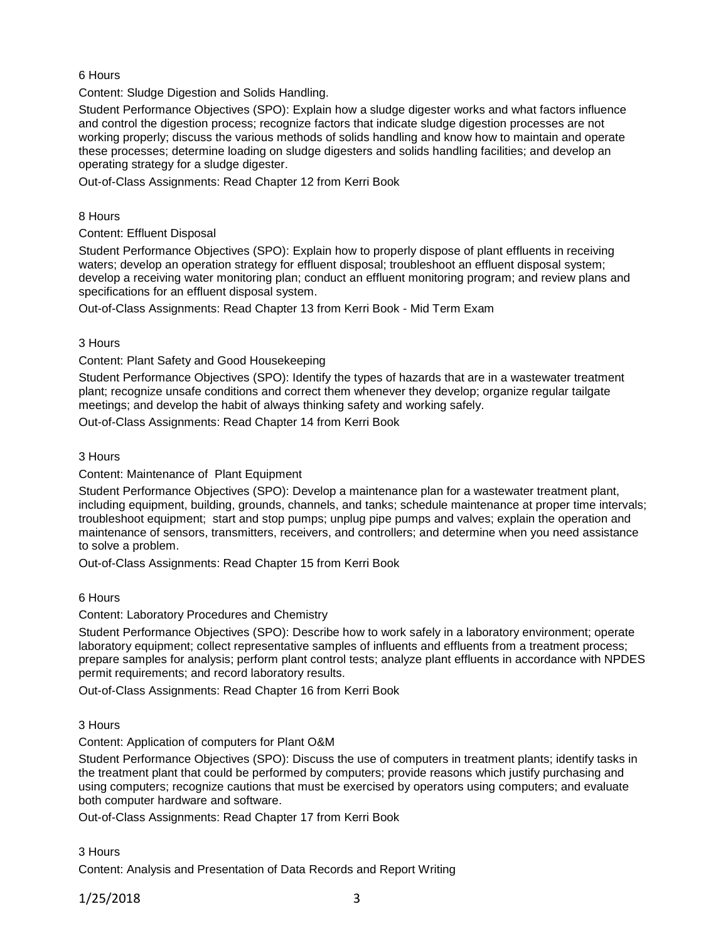### 6 Hours

Content: Sludge Digestion and Solids Handling.

Student Performance Objectives (SPO): Explain how a sludge digester works and what factors influence and control the digestion process; recognize factors that indicate sludge digestion processes are not working properly; discuss the various methods of solids handling and know how to maintain and operate these processes; determine loading on sludge digesters and solids handling facilities; and develop an operating strategy for a sludge digester.

Out-of-Class Assignments: Read Chapter 12 from Kerri Book

#### 8 Hours

#### Content: Effluent Disposal

Student Performance Objectives (SPO): Explain how to properly dispose of plant effluents in receiving waters; develop an operation strategy for effluent disposal; troubleshoot an effluent disposal system; develop a receiving water monitoring plan; conduct an effluent monitoring program; and review plans and specifications for an effluent disposal system.

Out-of-Class Assignments: Read Chapter 13 from Kerri Book - Mid Term Exam

#### 3 Hours

#### Content: Plant Safety and Good Housekeeping

Student Performance Objectives (SPO): Identify the types of hazards that are in a wastewater treatment plant; recognize unsafe conditions and correct them whenever they develop; organize regular tailgate meetings; and develop the habit of always thinking safety and working safely.

Out-of-Class Assignments: Read Chapter 14 from Kerri Book

#### 3 Hours

### Content: Maintenance of Plant Equipment

Student Performance Objectives (SPO): Develop a maintenance plan for a wastewater treatment plant, including equipment, building, grounds, channels, and tanks; schedule maintenance at proper time intervals; troubleshoot equipment; start and stop pumps; unplug pipe pumps and valves; explain the operation and maintenance of sensors, transmitters, receivers, and controllers; and determine when you need assistance to solve a problem.

Out-of-Class Assignments: Read Chapter 15 from Kerri Book

### 6 Hours

### Content: Laboratory Procedures and Chemistry

Student Performance Objectives (SPO): Describe how to work safely in a laboratory environment; operate laboratory equipment; collect representative samples of influents and effluents from a treatment process; prepare samples for analysis; perform plant control tests; analyze plant effluents in accordance with NPDES permit requirements; and record laboratory results.

Out-of-Class Assignments: Read Chapter 16 from Kerri Book

### 3 Hours

### Content: Application of computers for Plant O&M

Student Performance Objectives (SPO): Discuss the use of computers in treatment plants; identify tasks in the treatment plant that could be performed by computers; provide reasons which justify purchasing and using computers; recognize cautions that must be exercised by operators using computers; and evaluate both computer hardware and software.

Out-of-Class Assignments: Read Chapter 17 from Kerri Book

### 3 Hours

Content: Analysis and Presentation of Data Records and Report Writing

### 1/25/2018 3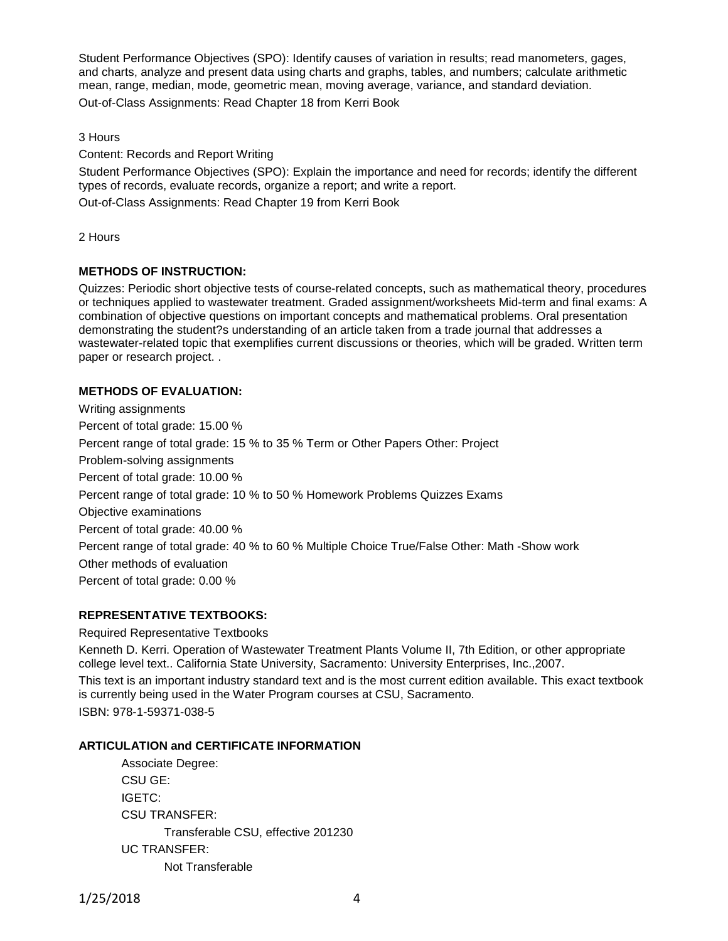Student Performance Objectives (SPO): Identify causes of variation in results; read manometers, gages, and charts, analyze and present data using charts and graphs, tables, and numbers; calculate arithmetic mean, range, median, mode, geometric mean, moving average, variance, and standard deviation. Out-of-Class Assignments: Read Chapter 18 from Kerri Book

3 Hours

Content: Records and Report Writing

Student Performance Objectives (SPO): Explain the importance and need for records; identify the different types of records, evaluate records, organize a report; and write a report. Out-of-Class Assignments: Read Chapter 19 from Kerri Book

2 Hours

# **METHODS OF INSTRUCTION:**

Quizzes: Periodic short objective tests of course-related concepts, such as mathematical theory, procedures or techniques applied to wastewater treatment. Graded assignment/worksheets Mid-term and final exams: A combination of objective questions on important concepts and mathematical problems. Oral presentation demonstrating the student?s understanding of an article taken from a trade journal that addresses a wastewater-related topic that exemplifies current discussions or theories, which will be graded. Written term paper or research project. .

### **METHODS OF EVALUATION:**

Writing assignments Percent of total grade: 15.00 % Percent range of total grade: 15 % to 35 % Term or Other Papers Other: Project Problem-solving assignments Percent of total grade: 10.00 % Percent range of total grade: 10 % to 50 % Homework Problems Quizzes Exams Objective examinations Percent of total grade: 40.00 % Percent range of total grade: 40 % to 60 % Multiple Choice True/False Other: Math -Show work Other methods of evaluation Percent of total grade: 0.00 %

# **REPRESENTATIVE TEXTBOOKS:**

### Required Representative Textbooks

Kenneth D. Kerri. Operation of Wastewater Treatment Plants Volume II, 7th Edition, or other appropriate college level text.. California State University, Sacramento: University Enterprises, Inc.,2007.

This text is an important industry standard text and is the most current edition available. This exact textbook is currently being used in the Water Program courses at CSU, Sacramento. ISBN: 978-1-59371-038-5

### **ARTICULATION and CERTIFICATE INFORMATION**

Associate Degree: CSU GE: IGETC: CSU TRANSFER: Transferable CSU, effective 201230 UC TRANSFER: Not Transferable